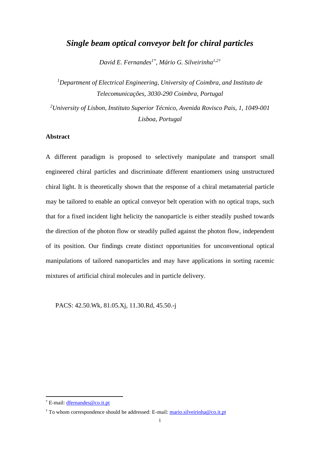# *Single beam optical conveyor belt for chiral particles*

*David E. Fernandes1\* , Mário G. Silveirinha 1,2†*

*<sup>1</sup>Department of Electrical Engineering, University of Coimbra, and Instituto de Telecomunicações, 3030-290 Coimbra, Portugal*

*<sup>2</sup>University of Lisbon, Instituto Superior Técnico, Avenida Rovisco Pais, 1, 1049-001 Lisboa, Portugal*

### **Abstract**

A different paradigm is proposed to selectively manipulate and transport small engineered chiral particles and discriminate different enantiomers using unstructured chiral light. It is theoretically shown that the response of a chiral metamaterial particle may be tailored to enable an optical conveyor belt operation with no optical traps, such that for a fixed incident light helicity the nanoparticle is either steadily pushed towards the direction of the photon flow or steadily pulled against the photon flow, independent of its position. Our findings create distinct opportunities for unconventional optical manipulations of tailored nanoparticles and may have applications in sorting racemic mixtures of artificial chiral molecules and in particle delivery.

PACS: 42.50.Wk, 81.05.Xj, 11.30.Rd, 45.50.-j

<sup>\*</sup> E-mail: [dfernandes@co.it.pt](mailto:dfernandes@co.it.pt)

<sup>†</sup> To whom correspondence should be addressed: E-mail[: mario.silveirinha@co.it.pt](mailto:mario.silveirinha@co.it.pt)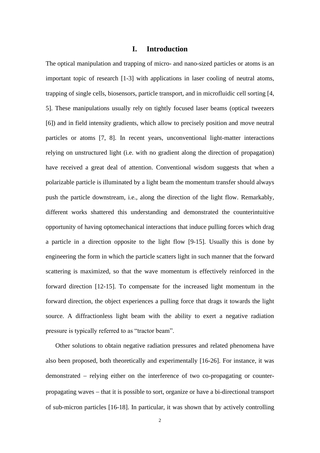### **I. Introduction**

The optical manipulation and trapping of micro- and nano-sized particles or atoms is an important topic of research [\[1](#page-19-0)[-3\]](#page-20-0) with applications in laser cooling of neutral atoms, trapping of single cells, biosensors, particle transport, and in microfluidic cell sorting [\[4,](#page-20-1) [5\]](#page-20-2). These manipulations usually rely on tightly focused laser beams (optical tweezers [\[6\]](#page-20-3)) and in field intensity gradients, which allow to precisely position and move neutral particles or atoms [\[7,](#page-20-4) [8\]](#page-20-5). In recent years, unconventional light-matter interactions relying on unstructured light (i.e. with no gradient along the direction of propagation) have received a great deal of attention. Conventional wisdom suggests that when a polarizable particle is illuminated by a light beam the momentum transfer should always push the particle downstream, i.e., along the direction of the light flow. Remarkably, different works shattered this understanding and demonstrated the counterintuitive opportunity of having optomechanical interactions that induce pulling forces which drag a particle in a direction opposite to the light flow [\[9-](#page-20-6)[15\]](#page-20-7). Usually this is done by engineering the form in which the particle scatters light in such manner that the forward scattering is maximized, so that the wave momentum is effectively reinforced in the forward direction [\[12-](#page-20-8)[15\]](#page-20-7). To compensate for the increased light momentum in the forward direction, the object experiences a pulling force that drags it towards the light source. A diffractionless light beam with the ability to exert a negative radiation pressure is typically referred to as "tractor beam".

Other solutions to obtain negative radiation pressures and related phenomena have also been proposed, both theoretically and experimentally [\[16](#page-20-9)[-26\]](#page-21-0). For instance, it was demonstrated − relying either on the interference of two co-propagating or counterpropagating waves − that it is possible to sort, organize or have a bi-directional transport of sub-micron particles [\[16](#page-20-9)[-18\]](#page-20-10). In particular, it was shown that by actively controlling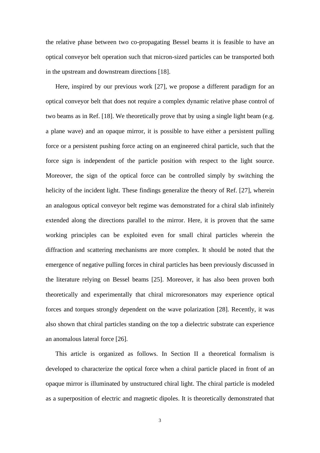the relative phase between two co-propagating Bessel beams it is feasible to have an optical conveyor belt operation such that micron-sized particles can be transported both in the upstream and downstream directions [\[18\]](#page-20-10).

Here, inspired by our previous work [\[27\]](#page-21-1), we propose a different paradigm for an optical conveyor belt that does not require a complex dynamic relative phase control of two beams as in Ref. [\[18\]](#page-20-10). We theoretically prove that by using a single light beam (e.g. a plane wave) and an opaque mirror, it is possible to have either a persistent pulling force or a persistent pushing force acting on an engineered chiral particle, such that the force sign is independent of the particle position with respect to the light source. Moreover, the sign of the optical force can be controlled simply by switching the helicity of the incident light. These findings generalize the theory of Ref. [\[27\]](#page-21-1), wherein an analogous optical conveyor belt regime was demonstrated for a chiral slab infinitely extended along the directions parallel to the mirror. Here, it is proven that the same working principles can be exploited even for small chiral particles wherein the diffraction and scattering mechanisms are more complex. It should be noted that the emergence of negative pulling forces in chiral particles has been previously discussed in the literature relying on Bessel beams [\[25\]](#page-21-2). Moreover, it has also been proven both theoretically and experimentally that chiral microresonators may experience optical forces and torques strongly dependent on the wave polarization [\[28\]](#page-21-3). Recently, it was also shown that chiral particles standing on the top a dielectric substrate can experience an anomalous lateral force [\[26\]](#page-21-0).

This article is organized as follows. In Section II a theoretical formalism is developed to characterize the optical force when a chiral particle placed in front of an opaque mirror is illuminated by unstructured chiral light. The chiral particle is modeled as a superposition of electric and magnetic dipoles. It is theoretically demonstrated that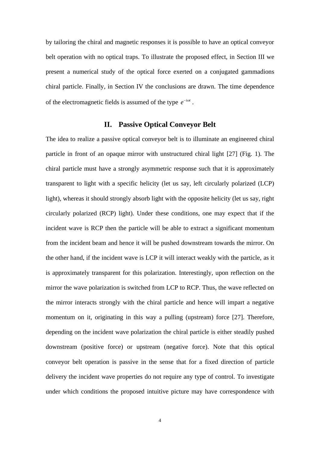by tailoring the chiral and magnetic responses it is possible to have an optical conveyor belt operation with no optical traps. To illustrate the proposed effect, in Section III we present a numerical study of the optical force exerted on a conjugated gammadions chiral particle. Finally, in Section IV the conclusions are drawn. The time dependence of the electromagnetic fields is assumed of the type  $e^{-i\omega t}$ .

# **II. Passive Optical Conveyor Belt**

<span id="page-3-0"></span>The idea to realize a passive optical conveyor belt is to illuminate an engineered chiral particle in front of an opaque mirror with unstructured chiral light [\[27\]](#page-21-1) (Fig. [1\)](#page-4-0). The chiral particle must have a strongly asymmetric response such that it is approximately transparent to light with a specific helicity (let us say, left circularly polarized (LCP) light), whereas it should strongly absorb light with the opposite helicity (let us say, right circularly polarized (RCP) light). Under these conditions, one may expect that if the incident wave is RCP then the particle will be able to extract a significant momentum from the incident beam and hence it will be pushed downstream towards the mirror. On the other hand, if the incident wave is LCP it will interact weakly with the particle, as it is approximately transparent for this polarization. Interestingly, upon reflection on the mirror the wave polarization is switched from LCP to RCP. Thus, the wave reflected on the mirror interacts strongly with the chiral particle and hence will impart a negative momentum on it, originating in this way a pulling (upstream) force [\[27\]](#page-21-1). Therefore, depending on the incident wave polarization the chiral particle is either steadily pushed downstream (positive force) or upstream (negative force). Note that this optical conveyor belt operation is passive in the sense that for a fixed direction of particle delivery the incident wave properties do not require any type of control. To investigate under which conditions the proposed intuitive picture may have correspondence with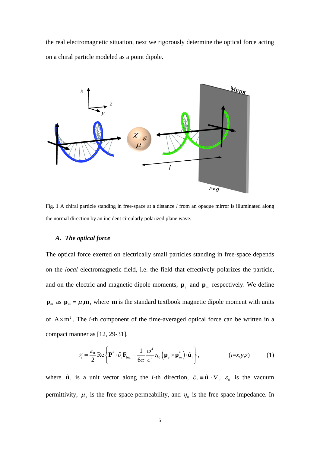the real electromagnetic situation, next we rigorously determine the optical force acting on a chiral particle modeled as a point dipole.



<span id="page-4-0"></span>Fig. 1 A chiral particle standing in free-space at a distance *l* from an opaque mirror is illuminated along the normal direction by an incident circularly polarized plane wave.

## *A. The optical force*

The optical force exerted on electrically small particles standing in free-space depends on the *local* electromagnetic field, i.e. the field that effectively polarizes the particle, and on the electric and magnetic dipole moments,  $\mathbf{p}_e$  and  $\mathbf{p}_m$  respectively. We define  $\mathbf{p}_m$  as  $\mathbf{p}_m = \mu_0 \mathbf{m}$ , where **m** is the standard textbook magnetic dipole moment with units of  $A \times m^2$ . The *i*-th component of the time-averaged optical force can be written in a compact manner as [\[12,](#page-20-8) 29-31],

<span id="page-4-1"></span>
$$
\mathcal{F}_i = \frac{\varepsilon_0}{2} \operatorname{Re} \left\{ \mathbf{P}^* \cdot \partial_i \mathbf{F}_{\text{loc}} - \frac{1}{6\pi} \frac{\omega^4}{c^2} \eta_0 \left( \mathbf{p}_e \times \mathbf{p}_m^* \right) \cdot \hat{\mathbf{u}}_i \right\},\tag{i=x,y,z}
$$

where  $\hat{\mathbf{u}}_i$  is a unit vector along the *i*-th direction,  $\partial_i = \hat{\mathbf{u}}_i \cdot \nabla$ ,  $\varepsilon_0$  is the vacuum permittivity,  $\mu_0$  is the free-space permeability, and  $\eta_0$  is the free-space impedance. In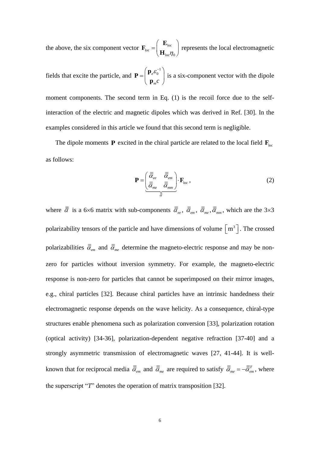the above, the six component vector  $\mathbf{F}_{loc} = \begin{bmatrix} 1 \ 1 \end{bmatrix}$  $^{\rm loc}$   $\left(\, {\bf H}_{\rm loc} \eta_{0} \right.$  $=\hspace{-1em}\begin{pmatrix}\mathbf{E}_{\rm loc}\ \mathbf{H}_{\rm loc} \boldsymbol{\eta}_0\end{pmatrix}$ **E F**  $\mathbf{H}_{\text{L}}$   $\mathbf{m}_{\text{o}}$  represents the local electromagnetic

fields that excite the particle, and 
$$
\mathbf{P} = \begin{pmatrix} \mathbf{p}_e \boldsymbol{\varepsilon}_0^{-1} \\ \mathbf{p}_{m} \boldsymbol{c} \end{pmatrix}
$$
 is a six-component vector with the dipole moment components. The second term in Eq. (1) is the recoil force due to the self-interaction of the electric and magnetic dipoles which was derived in Ref. [30]. In the

examples considered in this article we found that this second term is negligible.

The dipole moments **P** excited in the chiral particle are related to the local field  $\mathbf{F}_{\text{loc}}$ as follows:

<span id="page-5-0"></span>
$$
\mathbf{P} = \left(\begin{array}{cc} \overline{\overline{a}}_{ee} & \overline{\overline{a}}_{em} \\ \overline{\overline{a}}_{me} & \overline{\overline{a}}_{mm} \end{array}\right) \cdot \mathbf{F}_{loc} ,
$$
\n(2)

where  $\bar{\bar{\alpha}}$  is a 6×6 matrix with sub-components  $\bar{\bar{\alpha}}_{ee}$ ,  $\bar{\bar{\alpha}}_{em}$ ,  $\bar{\bar{\alpha}}_{me}$ ,  $\bar{\bar{\alpha}}_{mm}$ , which are the 3×3 polarizability tensors of the particle and have dimensions of volume  $\left[m^3\right]$ . The crossed polarizabilities  $\bar{\bar{\alpha}}_{_{mn}}$  and  $\bar{\bar{\alpha}}_{_{mn}}$  determine the magneto-electric response and may be nonzero for particles without inversion symmetry. For example, the magneto-electric response is non-zero for particles that cannot be superimposed on their mirror images, e.g., chiral particles [\[32\]](#page-21-7). Because chiral particles have an intrinsic handedness their electromagnetic response depends on the wave helicity. As a consequence, chiral-type structures enable phenomena such as polarization conversion [\[33\]](#page-21-8), polarization rotation (optical activity) [\[34-](#page-21-9)[36\]](#page-21-10), polarization-dependent negative refraction [\[37](#page-21-11)[-40\]](#page-21-12) and a strongly asymmetric transmission of electromagnetic waves [\[27,](#page-21-1) [41](#page-21-13)[-44\]](#page-22-0). It is wellknown that for reciprocal media  $\bar{\bar{\alpha}}_{em}$  and  $\bar{\bar{\alpha}}_{me}$  are required to satisfy  $\bar{\bar{\alpha}}_{me} = -\bar{\bar{\alpha}}_{em}^T$ , where the superscript "*T*" denotes the operation of matrix transposition [\[32\]](#page-21-7).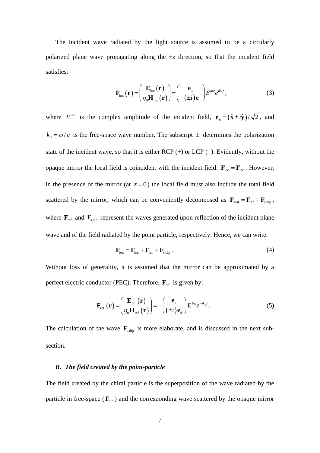The incident wave radiated by the light source is assumed to be a circularly polarized plane wave propagating along the  $+z$  direction, so that the incident field satisfies:

$$
\mathbf{F}_{\text{inc}}(\mathbf{r}) = \begin{pmatrix} \mathbf{E}_{\text{inc}}(\mathbf{r}) \\ \eta_0 \mathbf{H}_{\text{inc}}(\mathbf{r}) \end{pmatrix} = \begin{pmatrix} \mathbf{e}_{\pm} \\ -(\pm i)\mathbf{e}_{\pm} \end{pmatrix} E^{inc} e^{ik_0 z}, \qquad (3)
$$

where  $E^{inc}$  is the complex amplitude of the incident field,  $\mathbf{e}_{\pm} = (\hat{\mathbf{x}} \pm i\hat{\mathbf{y}})/\sqrt{2}$ , and  $k_0 = \omega/c$  is the free-space wave number. The subscript  $\pm$  determines the polarization state of the incident wave, so that it is either  $RCP$  (+) or  $LCP$  (-). Evidently, without the opaque mirror the local field is coincident with the incident field:  $\mathbf{F}_{\text{loc}} = \mathbf{F}_{\text{inc}}$ . However, in the presence of the mirror (at  $z = 0$ ) the local field must also include the total field scattered by the mirror, which can be conveniently decomposed as  $\mathbf{F}_{\text{scat}} = \mathbf{F}_{\text{ref}} + \mathbf{F}_{\text{s, dip}}$ , where  $\mathbf{F}_{\text{ref}}$  and  $\mathbf{F}_{\text{s,dip}}$  represent the waves generated upon reflection of the incident plane wave and of the field radiated by the point particle, respectively. Hence, we can write:

<span id="page-6-0"></span>
$$
\mathbf{F}_{\text{loc}} = \mathbf{F}_{\text{inc}} + \mathbf{F}_{\text{ref}} + \mathbf{F}_{\text{s,dip}}.
$$
 (4)

Without loss of generality, it is assumed that the mirror can be approximated by a perfect electric conductor (PEC). Therefore,  $\mathbf{F}_{ref}$  is given by:

$$
\mathbf{F}_{\rm ref}(\mathbf{r}) = \begin{pmatrix} \mathbf{E}_{\rm ref}(\mathbf{r}) \\ \eta_0 \mathbf{H}_{\rm ref}(\mathbf{r}) \end{pmatrix} = -\begin{pmatrix} \mathbf{e}_{\pm} \\ (\pm i) \mathbf{e}_{\pm} \end{pmatrix} E^{inc} e^{-ik_0 z}.
$$
 (5)

The calculation of the wave  $\mathbf{F}_{s, dip}$  is more elaborate, and is discussed in the next subsection.

#### *B. The field created by the point-particle*

The field created by the chiral particle is the superposition of the wave radiated by the particle in free-space  $(\mathbf{F}_{\text{dip}})$  and the corresponding wave scattered by the opaque mirror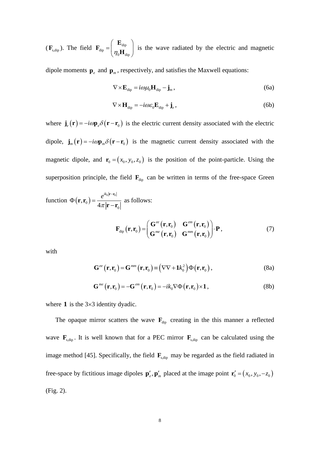$(\mathbf{F}_{s, dip})$ . The field  $\mathbf{F}_{dip} = \begin{bmatrix} \mathbf{L}_{dip} \\ \mathbf{L}_{p} \end{bmatrix}$  $^{\text{dip}}$   $\left(\,\eta_{0}\mathbf{H}_{\text{dip}}\right)$  $=\hspace{-1em}\begin{pmatrix}\mathbf{E}_{\text{dip}}\ \eta_{\text{0}}\mathbf{H}_{\text{dip}}\end{pmatrix}$ **E F**  $\mathbf{H}_{\text{L}}$  is the wave radiated by the electric and magnetic

dipole moments  $\mathbf{p}_e$  and  $\mathbf{p}_m$ , respectively, and satisfies the Maxwell equations:

<span id="page-7-0"></span>
$$
\nabla \times \mathbf{E}_{\text{dip}} = i\omega \mu_0 \mathbf{H}_{\text{dip}} - \mathbf{j}_m, \qquad (6a)
$$

$$
\nabla \times \mathbf{H}_{\text{dip}} = -i\omega \varepsilon_0 \mathbf{E}_{\text{dip}} + \mathbf{j}_e, \qquad (6b)
$$

where  $\mathbf{j}_{e}(\mathbf{r}) = -i\omega \mathbf{p}_{e} \delta(\mathbf{r} - \mathbf{r}_{0})$  is the electric current density associated with the electric dipole,  $\mathbf{j}_m(\mathbf{r}) = -i\omega \mathbf{p}_m \delta(\mathbf{r} - \mathbf{r}_0)$  is the magnetic current density associated with the magnetic dipole, and  $\mathbf{r}_0 = (x_0, y_0, z_0)$  is the position of the point-particle. Using the superposition principle, the field  $\mathbf{F}_{\text{dip}}$  can be written in terms of the free-space Green

function 
$$
\Phi(\mathbf{r}, \mathbf{r}_0) = \frac{e^{ik_0|\mathbf{r} - \mathbf{r}_0|}}{4\pi |\mathbf{r} - \mathbf{r}_0|}
$$
 as follows:  
\n
$$
\mathbf{F}_{\text{dip}}(\mathbf{r}, \mathbf{r}_0) = \begin{pmatrix} \mathbf{G}^{ee}(\mathbf{r}, \mathbf{r}_0) & \mathbf{G}^{em}(\mathbf{r}, \mathbf{r}_0) \\ \mathbf{G}^{me}(\mathbf{r}, \mathbf{r}_0) & \mathbf{G}^{mm}(\mathbf{r}, \mathbf{r}_0) \end{pmatrix} \cdot \mathbf{P},
$$
\n(7)

with

<span id="page-7-1"></span>
$$
\mathbf{G}^{ee}\left(\mathbf{r},\mathbf{r}_0\right) = \mathbf{G}^{mm}\left(\mathbf{r},\mathbf{r}_0\right) \equiv \left(\nabla\nabla + \mathbf{1}k_0^2\right)\Phi\left(\mathbf{r},\mathbf{r}_0\right),\tag{8a}
$$

$$
\mathbf{G}^{me}\left(\mathbf{r},\mathbf{r}_0\right) = -\mathbf{G}^{em}\left(\mathbf{r},\mathbf{r}_0\right) = -ik_0\nabla\Phi\left(\mathbf{r},\mathbf{r}_0\right) \times \mathbf{1},\tag{8b}
$$

where  $1$  is the  $3\times3$  identity dyadic.

The opaque mirror scatters the wave  $\mathbf{F}_{div}$  creating in the this manner a reflected wave  $\mathbf{F}_{s,dip}$ . It is well known that for a PEC mirror  $\mathbf{F}_{s,dip}$  can be calculated using the image method [\[45\]](#page-22-1). Specifically, the field  $\mathbf{F}_{s, dip}$  may be regarded as the field radiated in free-space by fictitious image dipoles  $\mathbf{p}'_e$ ,  $\mathbf{p}'_m$  placed at the image point  $\mathbf{r}'_0 = (x_0, y_0, -z_0)$ (Fig. [2\)](#page-8-0).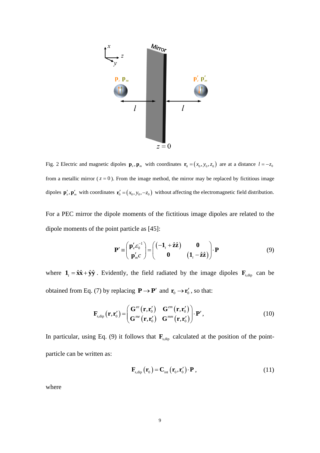

<span id="page-8-0"></span>Fig. 2 Electric and magnetic dipoles  $\mathbf{p}_e$ ,  $\mathbf{p}_m$  with coordinates  $\mathbf{r}_0 = (x_0, y_0, z_0)$  are at a distance  $l = -z_0$ from a metallic mirror  $(z = 0)$ . From the image method, the mirror may be replaced by fictitious image dipoles  $\mathbf{p}'_e$ ,  $\mathbf{p}'_m$  with coordinates  $\mathbf{r}'_0 = (x_0, y_0, -z_0)$  without affecting the electromagnetic field distribution.

For a PEC mirror the dipole moments of the fictitious image dipoles are related to the dipole moments of the point particle as [\[45\]](#page-22-1):

<span id="page-8-1"></span>
$$
\mathbf{P}' \equiv \begin{pmatrix} \mathbf{p}'_e \mathbf{\varepsilon}_0^{-1} \\ \mathbf{p}'_m c \end{pmatrix} = \begin{pmatrix} (-\mathbf{1}_t + \hat{\mathbf{z}}\hat{\mathbf{z}}) & \mathbf{0} \\ \mathbf{0} & (\mathbf{1}_t - \hat{\mathbf{z}}\hat{\mathbf{z}}) \end{pmatrix} \cdot \mathbf{P}
$$
(9)

where  $\mathbf{1}_t = \hat{\mathbf{x}} \hat{\mathbf{x}} + \hat{\mathbf{y}} \hat{\mathbf{y}}$ . Evidently, the field radiated by the image dipoles  $\mathbf{F}_{s, dip}$  can be obtained from Eq. [\(7\)](#page-7-1) by replacing  $P \rightarrow P'$  and  $r_0 \rightarrow r'_0$ , so that:

$$
\mathbf{F}_{s,\text{dip}}(\mathbf{r},\mathbf{r}'_0) = \begin{pmatrix} \mathbf{G}^{ee}(\mathbf{r},\mathbf{r}'_0) & \mathbf{G}^{em}(\mathbf{r},\mathbf{r}'_0) \\ \mathbf{G}^{me}(\mathbf{r},\mathbf{r}'_0) & \mathbf{G}^{mm}(\mathbf{r},\mathbf{r}'_0) \end{pmatrix} \cdot \mathbf{P}', \qquad (10)
$$

In particular, using Eq. [\(9\)](#page-8-1) it follows that  $\mathbf{F}_{s, dip}$  calculated at the position of the pointparticle can be written as:

<span id="page-8-2"></span>
$$
\mathbf{F}_{\text{s, dip}}\left(\mathbf{r}_{0}\right) = \mathbf{C}_{\text{int}}\left(\mathbf{r}_{0}, \mathbf{r}_{0}^{\prime}\right) \cdot \mathbf{P},\tag{11}
$$

where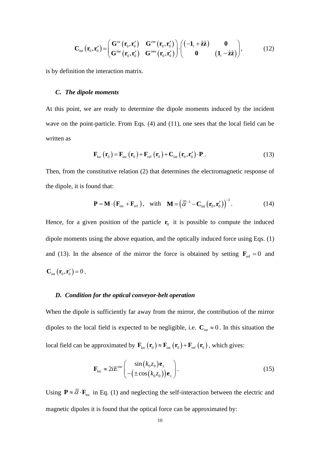$$
\mathbf{C}_{\text{int}}\left(\mathbf{r}_{0},\mathbf{r}_{0}^{\prime}\right) = \begin{pmatrix} \mathbf{G}^{ee}\left(\mathbf{r}_{0},\mathbf{r}_{0}^{\prime}\right) & \mathbf{G}^{em}\left(\mathbf{r}_{0},\mathbf{r}_{0}^{\prime}\right) \\ \mathbf{G}^{me}\left(\mathbf{r}_{0},\mathbf{r}_{0}^{\prime}\right) & \mathbf{G}^{mm}\left(\mathbf{r}_{0},\mathbf{r}_{0}^{\prime}\right) \end{pmatrix} \cdot \begin{pmatrix} \left(-\mathbf{1}_{t} + \hat{\mathbf{z}}\hat{\mathbf{z}}\right) & \mathbf{0} \\ \mathbf{0} & \left(\mathbf{1}_{t} - \hat{\mathbf{z}}\hat{\mathbf{z}}\right) \end{pmatrix},\tag{12}
$$

is by definition the interaction matrix.

#### *C. The dipole moments*

At this point, we are ready to determine the dipole moments induced by the incident wave on the point-particle. From Eqs. [\(4\)](#page-6-0) and [\(11\),](#page-8-2) one sees that the local field can be written as

<span id="page-9-0"></span>
$$
\mathbf{F}_{\text{loc}}\left(\mathbf{r}_{0}\right) = \mathbf{F}_{\text{inc}}\left(\mathbf{r}_{0}\right) + \mathbf{F}_{\text{ref}}\left(\mathbf{r}_{0}\right) + \mathbf{C}_{\text{int}}\left(\mathbf{r}_{0}, \mathbf{r}_{0}'\right) \cdot \mathbf{P}. \tag{13}
$$

Then, from the constitutive relation [\(2\)](#page-5-0) that determines the electromagnetic response of the dipole, it is found that:

$$
\mathbf{P} = \mathbf{M} \cdot (\mathbf{F}_{\text{inc}} + \mathbf{F}_{\text{ref}}), \quad \text{with} \quad \mathbf{M} = \left(\overline{\overline{\alpha}}^{-1} - \mathbf{C}_{\text{int}} \left(\mathbf{r}_{0}, \mathbf{r}_{0}^{\prime}\right)\right)^{-1}.
$$
 (14)

Hence, for a given position of the particle  $\mathbf{r}_0$  it is possible to compute the induced dipole moments using the above equation, and the optically induced force using Eqs. [\(1\)](#page-4-1) and [\(13\)](#page-9-0). In the absence of the mirror the force is obtained by setting  $\mathbf{F}_{ref} = 0$  and  $C_{\text{int}}(\mathbf{r}_{0}, \mathbf{r}'_{0}) = 0$ .

#### *D. Condition for the optical conveyor-belt operation*

When the dipole is sufficiently far away from the mirror, the contribution of the mirror dipoles to the local field is expected to be negligible, i.e.  $C_{int} \approx 0$ . In this situation the local field can be approximated by  $\mathbf{F}_{\text{loc}}(\mathbf{r}_0) \approx \mathbf{F}_{\text{inc}}(\mathbf{r}_0) + \mathbf{F}_{\text{ref}}(\mathbf{r}_0)$ , which gives:

$$
\mathbf{F}_{\text{loc}} \approx 2i E^{\text{inc}} \left( \frac{\sin(k_0 z_0) \mathbf{e}_{\pm}}{-\left(\pm \cos(k_0 z_0)\right) \mathbf{e}_{\pm}} \right). \tag{15}
$$

Using  $\mathbf{P} \approx \overline{\overline{\alpha}} \cdot \mathbf{F}_{loc}$  in Eq. [\(1\)](#page-4-1) and neglecting the self-interaction between the electric and magnetic dipoles it is found that the optical force can be approximated by: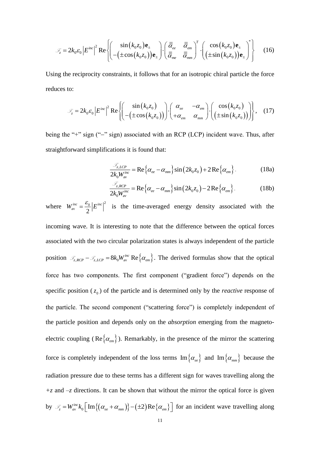$$
\mathcal{F}_z = 2k_0 \varepsilon_0 \left| E^{inc} \right|^2 \text{Re} \left\{ \left( \frac{\sin(k_0 z_0) \mathbf{e}_\pm}{-\left(\pm \cos(k_0 z_0)\right) \mathbf{e}_\pm} \right) \cdot \left( \frac{\overline{\overline{a}}_{ee}}{\overline{\overline{a}}_{me}} \frac{\overline{\overline{a}}_{em}}{\overline{\overline{a}}_{mm}} \right)^T \cdot \left( \frac{\cos(k_0 z_0) \mathbf{e}_\pm}{\left(\pm \sin(k_0 z_0)\right) \mathbf{e}_\pm} \right)^* \right\}
$$
(16)

Using the reciprocity constraints, it follows that for an isotropic chiral particle the force reduces to:

$$
\mathcal{F}_z = 2k_0 \varepsilon_0 \left| E^{inc} \right|^2 \text{Re} \left\{ \left( \frac{\sin(k_0 z_0)}{-\left(\pm \cos(k_0 z_0)\right)} \right) \cdot \left( \begin{array}{cc} \alpha_{ee} & -\alpha_{em} \\ +\alpha_{em} & \alpha_{mm} \end{array} \right) \cdot \left( \begin{array}{cc} \cos(k_0 z_0) \\ \left(\pm \sin(k_0 z_0)\right) \end{array} \right) \right\}, \quad (17)
$$

being the "+" sign ("−" sign) associated with an RCP (LCP) incident wave. Thus, after straightforward simplifications it is found that:

<span id="page-10-0"></span>
$$
\frac{\mathcal{F}_{z, LCP}}{2k_0 W_{\text{av}}^{\text{inc}}} = \text{Re}\left\{\alpha_{ee} - \alpha_{mm}\right\} \sin\left(2k_0 z_0\right) + 2\text{Re}\left\{\alpha_{em}\right\}.
$$
 (18a)

$$
\frac{\mathcal{F}_{z,RCP}}{2k_0 W_{av}^{inc}} = \text{Re}\left\{\alpha_{ee} - \alpha_{mm}\right\} \sin\left(2k_0 z_0\right) - 2\text{Re}\left\{\alpha_{em}\right\}.
$$
 (18b)

 $(k_0z_0)\mathbf{e}_{\pm}$ <br>  $\cos(k_0z_0)\mathbf{e}_{\pm}$ <br>  $\sin(k_0z_0)\mathbf{e}_{\pm}$ <br>  $\sin(k_0z_0)$ <br>  $(\pm \cos(k_0z_0)\mathbf{e}_{\pm})$ <br>
sociated with<br>
t is found tha<br>  $\pm = \text{Re}\{\alpha_{ee} - \alpha\mathbf{e}_{\pm} - \alpha\mathbf{e}_{\pm} - \alpha\mathbf{e}_{\pm} - \alpha\mathbf{e}_{\pm} - \alpha\mathbf{e}_{\pm} - \alpha\mathbf{e}_{\pm}$ <br>  $\pm \$ where  $W_{av}^{inc} = \frac{\varepsilon_0}{2} |E^{inc}|^2$  $\frac{1}{2}$  av  $W_{av}^{inc} = \frac{\varepsilon_0}{2} |E^{inc}|^2$  is the time-averaged energy density associated with the incoming wave. It is interesting to note that the difference between the optical forces associated with the two circular polarization states is always independent of the particle position  $\mathcal{F}_{z,RCP} - \mathcal{F}_{z,LCP} = 8k_0 W_{av}^{inc} \text{ Re} \{\alpha_{em}\}\.$  The derived formulas show that the optical force has two components. The first component ("gradient force") depends on the specific position  $(z_0)$  of the particle and is determined only by the *reactive* response of the particle. The second component ("scattering force") is completely independent of the particle position and depends only on the *absorption* emerging from the magnetoelectric coupling ( $\text{Re}\left\{\alpha_{em}\right\}$ ). Remarkably, in the presence of the mirror the scattering force is completely independent of the loss terms  $\text{Im}\left\{\alpha_{ee}\right\}$  and  $\text{Im}\left\{\alpha_{mm}\right\}$  because the radiation pressure due to these terms has a different sign for waves travelling along the *+z* and *–z* directions. It can be shown that without the mirror the optical force is given by  $\mathcal{F}_z = W_{av}^{inc} k_0 \left[ \text{Im} \left\{ \left( \alpha_{ee} + \alpha_{mm} \right) \right\} - \left( \pm 2 \right) \text{Re} \left\{ \alpha_{em} \right\} \right]$  $\mathcal{F}_z = W_{av}^{inc} k_0 \left[ \text{Im} \{ (\alpha_{ee} + \alpha_{mm}) \} - (\pm 2) \text{Re} \{ \alpha_{em} \} \right]$  for an incident wave travelling along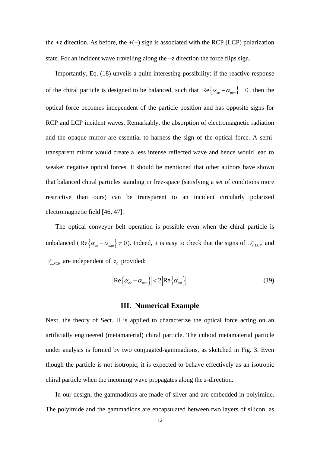the  $+z$  direction. As before, the  $+(-)$  sign is associated with the RCP (LCP) polarization state. For an incident wave travelling along the −*z* direction the force flips sign.

Importantly, Eq. [\(18\)](#page-10-0) unveils a quite interesting possibility: if the reactive response of the chiral particle is designed to be balanced, such that  $\text{Re}\left\{\alpha_{ee} - \alpha_{mm}\right\} = 0$ , then the optical force becomes independent of the particle position and has opposite signs for RCP and LCP incident waves. Remarkably, the absorption of electromagnetic radiation and the opaque mirror are essential to harness the sign of the optical force. A semitransparent mirror would create a less intense reflected wave and hence would lead to weaker negative optical forces. It should be mentioned that other authors have shown that balanced chiral particles standing in free-space (satisfying a set of conditions more restrictive than ours) can be transparent to an incident circularly polarized electromagnetic field [\[46,](#page-22-2) [47\]](#page-22-3).

The optical conveyor belt operation is possible even when the chiral particle is unbalanced (Re  $\{\alpha_{ee} - \alpha_{mm}\}\neq 0$ ). Indeed, it is easy to check that the signs of  $\mathcal{F}_{z, LCP}$  and  $\mathcal{F}_{z,RCP}$  are independent of  $z_0$  provided:

$$
\left| \text{Re}\left\{ \alpha_{ee} - \alpha_{mm} \right\} \right| < 2 \left| \text{Re}\left\{ \alpha_{em} \right\} \right| \tag{19}
$$

### <span id="page-11-0"></span>**III. Numerical Example**

Next, the theory of Sect. [II](#page-3-0) is applied to characterize the optical force acting on an artificially engineered (metamaterial) chiral particle. The cuboid metamaterial particle under analysis is formed by two conjugated-gammadions, as sketched in Fig. [3.](#page-12-0) Even though the particle is not isotropic, it is expected to behave effectively as an isotropic chiral particle when the incoming wave propagates along the *z-*direction.

In our design, the gammadions are made of silver and are embedded in polyimide. The polyimide and the gammadions are encapsulated between two layers of silicon, as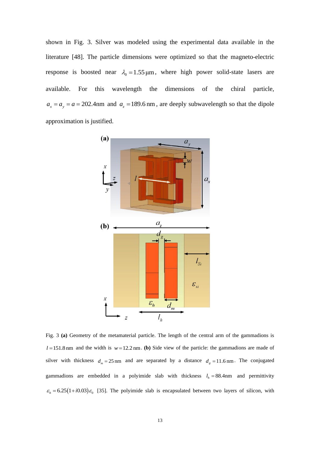shown in Fig. [3.](#page-12-0) Silver was modeled using the experimental data available in the literature [\[48\]](#page-22-4). The particle dimensions were optimized so that the magneto-electric response is boosted near  $\lambda_0 = 1.55 \,\mu\text{m}$ , where high power solid-state lasers are available. For this wavelength the dimensions of the chiral particle,  $a_x = a_y = a = 202.4$  nm and  $a_z = 189.6$  nm, are deeply subwavelength so that the dipole approximation is justified.



<span id="page-12-0"></span>Fig. 3 **(a)** Geometry of the metamaterial particle. The length of the central arm of the gammadions is  $l = 151.8$  nm and the width is  $w = 12.2$  nm. **(b)** Side view of the particle: the gammadions are made of silver with thickness  $d_m = 25 \text{ nm}$  and are separated by a distance  $d_g = 11.6 \text{ nm}$ . The conjugated gammadions are embedded in a polyimide slab with thickness  $l_h = 88.4$  and permittivity  $\varepsilon_h$  = 6.25(1+*i*0.03) $\varepsilon_0$  [\[35\]](#page-21-14). The polyimide slab is encapsulated between two layers of silicon, with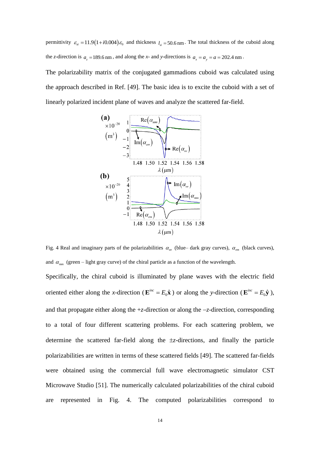permittivity  $\varepsilon_{si} = 11.9(1+i0.004)\varepsilon_0$  and thickness  $l_{si} = 50.6$  nm. The total thickness of the cuboid along the *z*-direction is  $a_z = 189.6$  nm, and along the *x*- and *y*-directions is  $a_x = a_y = a = 202.4$  nm.

The polarizability matrix of the conjugated gammadions cuboid was calculated using the approach described in Ref. [\[49\]](#page-22-5). The basic idea is to excite the cuboid with a set of linearly polarized incident plane of waves and analyze the scattered far-field.



<span id="page-13-0"></span>Fig. 4 Real and imaginary parts of the polarizabilities  $\alpha_{ee}$  (blue– dark gray curves),  $\alpha_{em}$  (black curves), and  $\alpha_{mn}$  (green – light gray curve) of the chiral particle as a function of the wavelength.

Specifically, the chiral cuboid is illuminated by plane waves with the electric field oriented either along the *x*-direction ( $\mathbf{E}^{inc} = E_0 \hat{\mathbf{x}}$ ) or along the *y*-direction ( $\mathbf{E}^{inc} = E_0 \hat{\mathbf{y}}$ ), and that propagate either along the +*z*-direction or along the −*z*-direction, corresponding to a total of four different scattering problems. For each scattering problem, we determine the scattered far-field along the *z*-directions, and finally the particle polarizabilities are written in terms of these scattered fields [\[49\]](#page-22-5). The scattered far-fields were obtained using the commercial full wave electromagnetic simulator CST Microwave Studio [\[51\]](#page-22-6). The numerically calculated polarizabilities of the chiral cuboid are represented in Fig. [4.](#page-13-0) The computed polarizabilities correspond to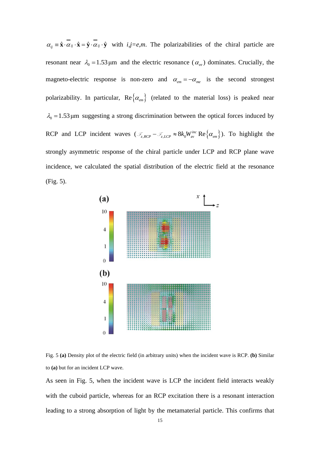$\alpha_{ij} = \hat{\mathbf{x}} \cdot \alpha_{ij} \cdot \hat{\mathbf{x}} = \hat{\mathbf{y}} \cdot \alpha_{ij} \cdot \hat{\mathbf{y}}$  with  $i, j = e, m$ . The polarizabilities of the chiral particle are resonant near  $\lambda_0 = 1.53 \,\mu\text{m}$  and the electric resonance ( $\alpha_{ee}$ ) dominates. Crucially, the magneto-electric response is non-zero and  $\alpha_{em} = -\alpha_{me}$  is the second strongest polarizability. In particular,  $\text{Re}\left\{\alpha_{em}\right\}$  (related to the material loss) is peaked near  $\lambda_0 = 1.53 \,\mu\text{m}$  suggesting a strong discrimination between the optical forces induced by RCP and LCP incident waves  $(\mathcal{F}_{z,RCP} - \mathcal{F}_{z,LCP} \approx 8k_0W_{av}^{inc} \text{ Re }\{\alpha_{em}\})$ . To highlight the strongly asymmetric response of the chiral particle under LCP and RCP plane wave incidence, we calculated the spatial distribution of the electric field at the resonance (Fig. [5\)](#page-14-0).



<span id="page-14-0"></span>

As seen in Fig. [5,](#page-14-0) when the incident wave is LCP the incident field interacts weakly with the cuboid particle, whereas for an RCP excitation there is a resonant interaction leading to a strong absorption of light by the metamaterial particle. This confirms that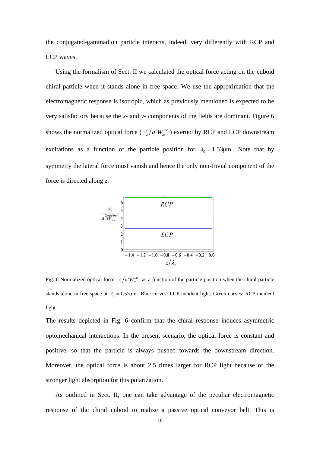the conjugated-gammadion particle interacts, indeed, very differently with RCP and LCP waves.

Using the formalism of Sect. II we calculated the optical force acting on the cuboid chiral particle when it stands alone in free space. We use the approximation that the electromagnetic response is isotropic, which as previously mentioned is expected to be very satisfactory because the *x-* and *y-* components of the fields are dominant. Figure [6](#page-15-0) shows the normalized optical force ( $\mathcal{F}_z/a^2$ av *inc*  $\mathcal{F}_z/a^2W_{av}^{inc}$  ) exerted by RCP and LCP downstream excitations as a function of the particle position for  $\lambda_0 = 1.53 \mu m$ . Note that by symmetry the lateral force must vanish and hence the only non-trivial component of the force is directed along *z*.



<span id="page-15-0"></span>Fig. 6 Normalized optical force  $\mathcal{F}_z/a^2W_{av}^{inc}$  as a function of the particle position when the chiral particle stands alone in free space at  $\lambda_0 = 1.53 \mu m$ . Blue curves: LCP incident light; Green curves: RCP incident light.

The results depicted in Fig. [6](#page-15-0) confirm that the chiral response induces asymmetric optomechanical interactions. In the present scenario, the optical force is constant and positive, so that the particle is always pushed towards the downstream direction. Moreover, the optical force is about 2.5 times larger for RCP light because of the stronger light absorption for this polarization.

As outlined in Sect. II, one can take advantage of the peculiar electromagnetic response of the chiral cuboid to realize a passive optical conveyor belt. This is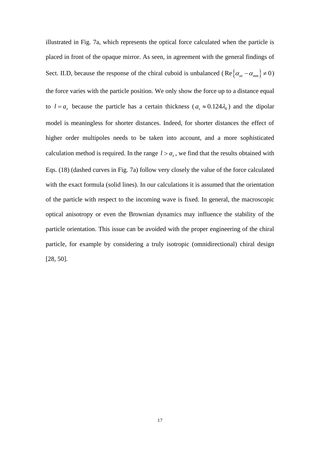illustrated in Fig. [7a](#page-17-0), which represents the optical force calculated when the particle is placed in front of the opaque mirror. As seen, in agreement with the general findings of Sect. II.D, because the response of the chiral cuboid is unbalanced (Re  $\{\alpha_{ee} - \alpha_{mm}\} \neq 0$ ) the force varies with the particle position. We only show the force up to a distance equal to  $l = a_z$  because the particle has a certain thickness ( $a_z \approx 0.124 \lambda_0$ ) and the dipolar model is meaningless for shorter distances. Indeed, for shorter distances the effect of higher order multipoles needs to be taken into account, and a more sophisticated calculation method is required. In the range  $l > a_{z}$ , we find that the results obtained with Eqs. [\(18\)](#page-10-0) (dashed curves in Fig. [7a](#page-17-0)) follow very closely the value of the force calculated with the exact formula (solid lines). In our calculations it is assumed that the orientation of the particle with respect to the incoming wave is fixed. In general, the macroscopic optical anisotropy or even the Brownian dynamics may influence the stability of the particle orientation. This issue can be avoided with the proper engineering of the chiral particle, for example by considering a truly isotropic (omnidirectional) chiral design [\[28,](#page-21-3) [50\]](#page-22-7).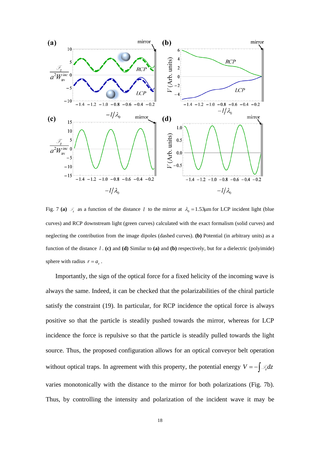

<span id="page-17-0"></span>Fig. 7 (a)  $\mathcal{F}_z$  as a function of the distance l to the mirror at  $\lambda_0 = 1.53 \mu m$  for LCP incident light (blue curves) and RCP downstream light (green curves) calculated with the exact formalism (solid curves) and neglecting the contribution from the image dipoles (dashed curves). **(b)** Potential (in arbitrary units) as a function of the distance *l* . **(c)** and **(d)** Similar to **(a)** and **(b)** respectively, but for a dielectric (polyimide) sphere with radius  $r = a_z$ .

Importantly, the sign of the optical force for a fixed helicity of the incoming wave is always the same. Indeed, it can be checked that the polarizabilities of the chiral particle satisfy the constraint [\(19\).](#page-11-0) In particular, for RCP incidence the optical force is always positive so that the particle is steadily pushed towards the mirror, whereas for LCP incidence the force is repulsive so that the particle is steadily pulled towards the light source. Thus, the proposed configuration allows for an optical conveyor belt operation without optical traps. In agreement with this property, the potential energy  $V = -\int \mathcal{I} z dz$ varies monotonically with the distance to the mirror for both polarizations (Fig. [7b](#page-17-0)). Thus, by controlling the intensity and polarization of the incident wave it may be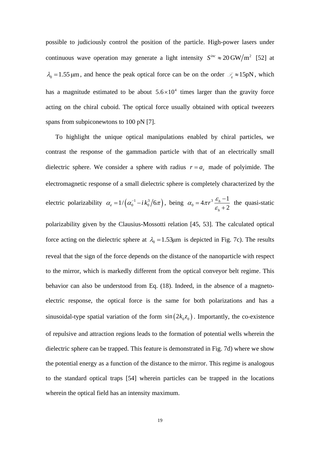possible to judiciously control the position of the particle. High-power lasers under continuous wave operation may generate a light intensity  $S^{inc} \approx 20 \text{ GW/m}^2$  [\[52\]](#page-22-8) at  $\lambda_0 = 1.55 \,\mu\text{m}$ , and hence the peak optical force can be on the order  $\mathcal{F}_z \approx 15 \,\text{pN}$ , which has a magnitude estimated to be about  $5.6 \times 10^4$  times larger than the gravity force acting on the chiral cuboid. The optical force usually obtained with optical tweezers spans from subpiconewtons to 100 pN [\[7\]](#page-20-4).

To highlight the unique optical manipulations enabled by chiral particles, we contrast the response of the gammadion particle with that of an electrically small dielectric sphere. We consider a sphere with radius  $r = a_z$  made of polyimide. The electromagnetic response of a small dielectric sphere is completely characterized by the electric polarizability  $\alpha_e = 1/(\alpha_0^{-1} - i k_0^3 / 6\pi)$ , being  $\alpha_0 = 4\pi r^3$  $\mathbf{0}$  $4\pi r^3 \frac{\varepsilon_h - 1}{2}$ 2 *h h*  $\alpha_0 = 4\pi r^3 \frac{\varepsilon}{\varepsilon}$  $=4\pi r^3\frac{\mathcal{E}_h}{\mathcal{E}_h}$ + the quasi-static

polarizability given by the Clausius-Mossotti relation [\[45,](#page-22-1) [53\]](#page-22-9). The calculated optical force acting on the dielectric sphere at  $\lambda_0 = 1.53 \mu m$  is depicted in Fig. [7c](#page-17-0)). The results reveal that the sign of the force depends on the distance of the nanoparticle with respect to the mirror, which is markedly different from the optical conveyor belt regime. This behavior can also be understood from Eq. [\(18\)](#page-10-0). Indeed, in the absence of a magnetoelectric response, the optical force is the same for both polarizations and has a sinusoidal-type spatial variation of the form  $sin(2k_0z_0)$ . Importantly, the co-existence of repulsive and attraction regions leads to the formation of potential wells wherein the dielectric sphere can be trapped. This feature is demonstrated in Fig. [7d](#page-17-0)) where we show the potential energy as a function of the distance to the mirror. This regime is analogous to the standard optical traps [\[54\]](#page-22-10) wherein particles can be trapped in the locations wherein the optical field has an intensity maximum.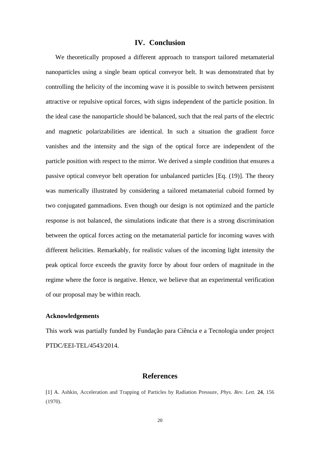# **IV. Conclusion**

We theoretically proposed a different approach to transport tailored metamaterial nanoparticles using a single beam optical conveyor belt. It was demonstrated that by controlling the helicity of the incoming wave it is possible to switch between persistent attractive or repulsive optical forces, with signs independent of the particle position. In the ideal case the nanoparticle should be balanced, such that the real parts of the electric and magnetic polarizabilities are identical. In such a situation the gradient force vanishes and the intensity and the sign of the optical force are independent of the particle position with respect to the mirror. We derived a simple condition that ensures a passive optical conveyor belt operation for unbalanced particles [Eq. [\(19\)\]](#page-11-0). The theory was numerically illustrated by considering a tailored metamaterial cuboid formed by two conjugated gammadions. Even though our design is not optimized and the particle response is not balanced, the simulations indicate that there is a strong discrimination between the optical forces acting on the metamaterial particle for incoming waves with different helicities. Remarkably, for realistic values of the incoming light intensity the peak optical force exceeds the gravity force by about four orders of magnitude in the regime where the force is negative. Hence, we believe that an experimental verification of our proposal may be within reach.

#### **Acknowledgements**

This work was partially funded by Fundação para Ciência e a Tecnologia under project PTDC/EEI-TEL/4543/2014.

### **References**

<span id="page-19-0"></span>[1] A. Ashkin, Acceleration and Trapping of Particles by Radiation Pressure*, Phys. Rev. Lett.* **24**, 156 (1970).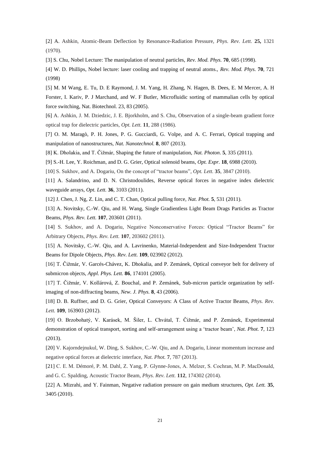[2] A. Ashkin, Atomic-Beam Deflection by Resonance-Radiation Pressure, *Phys. Rev. Lett.* **25,** 1321 (1970).

<span id="page-20-0"></span>[3] S. Chu, Nobel Lecture: The manipulation of neutral particles, *Rev. Mod. Phys.* **70**, 685 (1998).

<span id="page-20-1"></span>[4] W. D. Phillips, Nobel lecture: laser cooling and trapping of neutral atoms., *Rev. Mod. Phys.* **70**, 721 (1998)

<span id="page-20-2"></span>[5] M. M Wang, E. Tu, D. E Raymond, J. M. Yang, H. Zhang, N. Hagen, B. Dees, E. M Mercer, A. H Forster, I. Kariv, P. J Marchand, and W. F Butler, Microfluidic sorting of mammalian cells by optical force switching, Nat. Biotechnol. 23, 83 (2005).

<span id="page-20-3"></span>[6] A. Ashkin, J. M. Dziedzic, J. E. Bjorkholm, and S. Chu, Observation of a single-beam gradient force optical trap for dielectric particles, *Opt. Lett.* **11**, 288 (1986).

<span id="page-20-4"></span>[7] O. M. Maragò, P. H. Jones, P. G. Gucciardi, G. Volpe, and A. C. Ferrari, Optical trapping and manipulation of nanostructures, *Nat. Nanotechnol.* **8**, 807 (2013).

<span id="page-20-5"></span>[8] K. Dholakia, and T. Čižmár, Shaping the future of manipulation, *Nat. Photon*. **5**, 335 (2011).

<span id="page-20-6"></span>[9] S.-H. Lee, Y. Roichman, and D. G. Grier, Optical solenoid beams, *Opt. Expr.* **18**, 6988 (2010).

[10] S. Sukhov, and A. Dogariu, On the concept of "tractor beams"*, Opt. Lett.* **35**, 3847 (2010).

[11] A. Salandrino, and D. N. Christodoulides, Reverse optical forces in negative index dielectric waveguide arrays, *Opt. Lett.* **36**, 3103 (2011).

<span id="page-20-8"></span>[12] J. Chen, J. Ng, Z. Lin, and C. T. Chan, Optical pulling force*, Nat. Phot.* **5**, 531 (2011).

[13] A. Novitsky, C.-W. Qiu, and H. Wang, Single Gradientless Light Beam Drags Particles as Tractor Beams, *Phys. Rev. Lett.* **107**, 203601 (2011).

[14] S. Sukhov, and A. Dogariu, Negative Nonconservative Forces: Optical "Tractor Beams" for Arbitrary Objects, *Phys. Rev. Lett.* **107**, 203602 (2011).

<span id="page-20-7"></span>[15] A. Novitsky, C.-W. Qiu, and A. Lavrinenko, Material-Independent and Size-Independent Tractor Beams for Dipole Objects, *Phys. Rev. Lett.* **109**, 023902 (2012).

<span id="page-20-9"></span>[16] T. Čižmár, V. Garcés-Chávez, K. Dhokalia, and P. Zemánek, Optical conveyor belt for delivery of submicron objects, *Appl. Phys. Lett.* **86**, 174101 (2005).

[17] T. Čižmár, V. Kollárová, Z. Bouchal, and P. Zemánek, Sub-micron particle organization by selfimaging of non-diffracting beams, *New. J. Phys.* **8**, 43 (2006).

<span id="page-20-10"></span>[18] D. B. Ruffner, and D. G. Grier, Optical Conveyors: A Class of Active Tractor Beams, *Phys. Rev. Lett.* **109**, 163903 (2012).

[19] O. Brzobohatý, V. Karásek, M. Šiler, L. Chvátal, T. Čižmár, and P. Zemánek, Experimental demonstration of optical transport, sorting and self-arrangement using a 'tractor beam', *Nat. Phot.* **7**, 123 (2013).

[20] V. Kajorndejnukul, W. Ding, S. Sukhov, C.-W. Qiu, and A. Dogariu, Linear momentum increase and negative optical forces at dielectric interface, *Nat. Phot.* **7**, 787 (2013).

[21] C. E. M. Démoré, P. M. Dahl, Z. Yang, P. Glynne-Jones, A. Melzer, S. Cochran, M. P. MacDonald, and G. C. Spalding, Acoustic Tractor Beam, *Phys. Rev. Lett.* **112**, 174302 (2014).

[22] A. Mizrahi, and Y. Fainman, Negative radiation pressure on gain medium structures, *Opt. Lett.* **35**, 3405 (2010).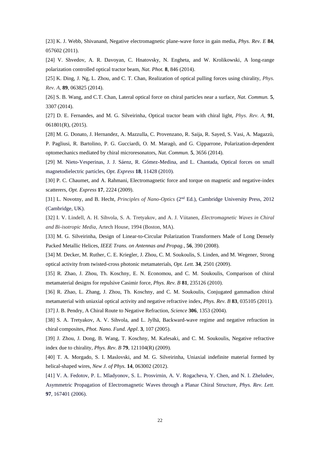[23] K. J. Webb, Shivanand, Negative electromagnetic plane-wave force in gain media, *Phys. Rev. E* **84**, 057602 (2011).

[24] V. Shvedov, A. R. Davoyan, C. Hnatovsky, N. Engheta, and W. Krolikowski, A long-range polarization controlled optical tractor beam, *Nat. Phot.* **8**, 846 (2014).

<span id="page-21-2"></span>[25] K. Ding, J. Ng, L. Zhou, and C. T. Chan, Realization of optical pulling forces using chirality, *Phys. Rev. A*, **89**, 063825 (2014).

<span id="page-21-0"></span>[26] S. B. Wang, and C.T. Chan, Lateral optical force on chiral particles near a surface, *Nat. Commun.* **5**, 3307 (2014).

<span id="page-21-1"></span>[27] D. E. Fernandes, and M. G. Silveirinha, Optical tractor beam with chiral light, *Phys. Rev. A*, **91**, 061801(R), (2015).

<span id="page-21-3"></span>[28] M. G. Donato, J. Hernandez, A. Mazzulla, C. Provenzano, R. Saija, R. Sayed, S. Vasi, A. Magazzù,

P. Pagliusi, R. Bartolino, P. G. Gucciardi, O. M. Maragò, and G. Cipparrone, Polarization-dependent optomechanics mediated by chiral microresonators, *Nat. Commun.* **5**, 3656 (2014).

<span id="page-21-4"></span>[29] M. Nieto-Vesperinas, J. J. Sáenz, R. Gómez-Medina, and L. Chantada, Optical forces on small magnetodielectric particles, *Opt. Express* **18**, 11428 (2010).

<span id="page-21-6"></span>[30] P. C. Chaumet, and A. Rahmani, Electromagnetic force and torque on magnetic and negative-index scatterers, *Opt. Express* **17**, 2224 (2009).

<span id="page-21-5"></span>[31] L. Novotny, and B. Hecht, *Principles of Nano-Optics* (2nd Ed.), Cambridge University Press, 2012 (Cambridge, UK).

<span id="page-21-7"></span>[32] I. V. Lindell, A. H. Sihvola, S. A. Tretyakov, and A. J. Viitanen, *Electromagnetic Waves in Chiral and Bi-isotropic Media*, Artech House, 1994 (Boston, MA).

<span id="page-21-8"></span>[33] M. G. Silveirinha, Design of Linear-to-Circular Polarization Transformers Made of Long Densely Packed Metallic Helices, *IEEE Trans. on Antennas and Propag.*, **56**, 390 (2008).

<span id="page-21-9"></span>[34] M. Decker, M. Ruther, C. E. Kriegler, J. Zhou, C. M. Soukoulis, S. Linden, and M. Wegener, Strong optical activity from twisted-cross photonic metamaterials, *Opt. Lett.* **34**, 2501 (2009).

<span id="page-21-14"></span>[35] R. Zhao, J. Zhou, Th. Koschny, E. N. Economou, and C. M. Soukoulis, Comparison of chiral metamaterial designs for repulsive Casimir force, *Phys. Rev. B* **81**, 235126 (2010).

<span id="page-21-10"></span>[36] R. Zhao, L. Zhang, J. Zhou, Th. Koschny, and C. M. Soukoulis, Conjugated gammadion chiral metamaterial with uniaxial optical activity and negative refractive index, *Phys. Rev. B* **83**, 035105 (2011). [37] J. B. Pendry, A Chiral Route to Negative Refraction, *Science* **306**, 1353 (2004).

<span id="page-21-11"></span>[38] S. A. Tretyakov, A. V. Sihvola, and L. Jylhä, Backward-wave regime and negative refraction in chiral composites, *Phot. Nano. Fund. Appl*. **3**, 107 (2005).

[39] J. Zhou, J. Dong, B. Wang, T. Koschny, M. Kafesaki, and C. M. Soukoulis, Negative refractive index due to chirality, *Phys. Rev. B* **79**, 121104(R) (2009).

<span id="page-21-12"></span>[40] T. A. Morgado, S. I. Maslovski, and M. G. Silveirinha, Uniaxial indefinite material formed by helical-shaped wires, *New J. of Phys.* **14**, 063002 (2012).

<span id="page-21-13"></span>[41] V. A. Fedotov, P. L. Mladyonov, S. L. Prosvirnin, A. V. Rogacheva, Y. Chen, and N. I. Zheludev, Asymmetric Propagation of Electromagnetic Waves through a Planar Chiral Structure, *Phys. Rev. Lett.* **97**, 167401 (2006).